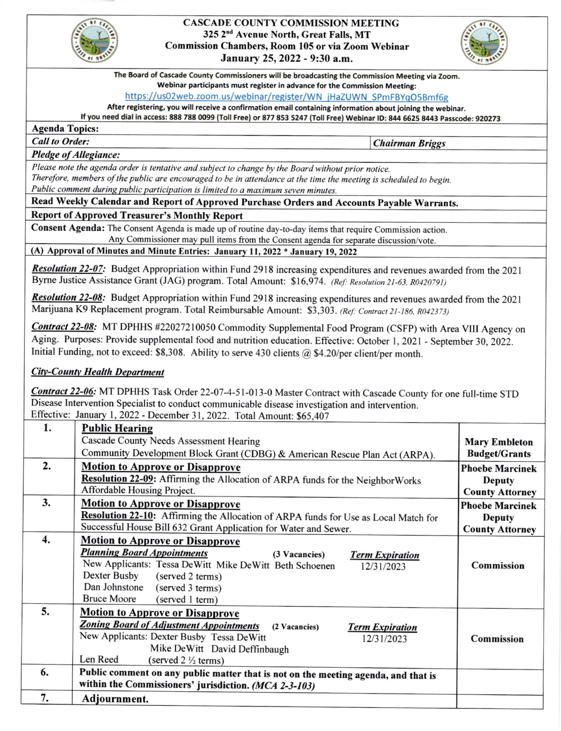

### **CASCADE COUNTY COMMISSION MEETING** 325 2<sup>nd</sup> Avenue North, Great Falls, MT **Commission Chambers, Room 105 or via Zoom Webinar** January 25, 2022 - 9:30 a.m.



The Board of Cascade County Commissioners will be broadcasting the Commission Meeting via Zoom. Webinar participants must register in advance for the Commission Meeting:

https://us02web.zoom.us/webinar/register/WN jHaZUWN SPmFBYqO5Bmf6g

After registering, you will receive a confirmation email containing information about joining the webinar.

If you need dial in access: 888 788 0099 (Toll Free) or 877 853 5247 (Toll Free) Webinar ID: 844 6625 8443 Passcode: 920273

**Agenda Topics: Call to Order:** 

**Chairman Briggs** 

**Pledge of Allegiance:** 

Please note the agenda order is tentative and subject to change by the Board without prior notice. Therefore, members of the public are encouraged to be in attendance at the time the meeting is scheduled to begin. Public comment during public participation is limited to a maximum seven minutes.

Read Weekly Calendar and Report of Approved Purchase Orders and Accounts Payable Warrants.

#### **Report of Approved Treasurer's Monthly Report**

Consent Agenda: The Consent Agenda is made up of routine day-to-day items that require Commission action. Any Commissioner may pull items from the Consent agenda for separate discussion/vote.

### (A) Approval of Minutes and Minute Entries: January 11, 2022 \* January 19, 2022

Resolution 22-07: Budget Appropriation within Fund 2918 increasing expenditures and revenues awarded from the 2021 Byrne Justice Assistance Grant (JAG) program. Total Amount: \$16,974. (Ref: Resolution 21-63, R0420791)

Resolution 22-08: Budget Appropriation within Fund 2918 increasing expenditures and revenues awarded from the 2021 Marijuana K9 Replacement program. Total Reimbursable Amount: \$3,303. (Ref: Contract 21-186, R042373)

Contract 22-08: MT DPHHS #22027210050 Commodity Supplemental Food Program (CSFP) with Area VIII Agency on Aging. Purposes: Provide supplemental food and nutrition education. Effective: October 1, 2021 - September 30, 2022. Initial Funding, not to exceed: \$8,308. Ability to serve 430 clients  $\omega$  \$4.20/per client/per month.

## **City-County Health Department**

Contract 22-06: MT DPHHS Task Order 22-07-4-51-013-0 Master Contract with Cascade County for one full-time STD Disease Intervention Specialist to conduct communicable disease investigation and intervention. Effective: January 1, 2022 - December 31, 2022. Total Amount: \$65,407

| 1. | <b>Public Hearing</b>                                                                     |                        |
|----|-------------------------------------------------------------------------------------------|------------------------|
|    | Cascade County Needs Assessment Hearing                                                   | <b>Mary Embleton</b>   |
|    | Community Development Block Grant (CDBG) & American Rescue Plan Act (ARPA).               | <b>Budget/Grants</b>   |
| 2. | <b>Motion to Approve or Disapprove</b>                                                    | <b>Phoebe Marcinek</b> |
|    | Resolution 22-09: Affirming the Allocation of ARPA funds for the NeighborWorks            | <b>Deputy</b>          |
|    | Affordable Housing Project.                                                               | <b>County Attorney</b> |
| 3. | <b>Motion to Approve or Disapprove</b>                                                    | <b>Phoebe Marcinek</b> |
|    | Resolution 22-10: Affirming the Allocation of ARPA funds for Use as Local Match for       | <b>Deputy</b>          |
|    | Successful House Bill 632 Grant Application for Water and Sewer.                          | <b>County Attorney</b> |
| 4. | <b>Motion to Approve or Disapprove</b>                                                    |                        |
|    | <b>Planning Board Appointments</b><br>(3 Vacancies)<br><b>Term Expiration</b>             |                        |
|    | New Applicants: Tessa DeWitt Mike DeWitt Beth Schoenen<br>12/31/2023                      | <b>Commission</b>      |
|    | Dexter Busby<br>(served 2 terms)                                                          |                        |
|    | Dan Johnstone<br>(served 3 terms)                                                         |                        |
|    | <b>Bruce Moore</b><br>(served 1 term)                                                     |                        |
| 5. | <b>Motion to Approve or Disapprove</b>                                                    |                        |
|    | <b>Zoning Board of Adjustment Appointments</b><br>(2 Vacancies)<br><b>Term Expiration</b> |                        |
|    | New Applicants: Dexter Busby Tessa DeWitt<br>12/31/2023                                   | Commission             |
|    | Mike DeWitt David Deffinbaugh                                                             |                        |
|    | Len Reed<br>(served $2\frac{1}{2}$ terms)                                                 |                        |
| 6. | Public comment on any public matter that is not on the meeting agenda, and that is        |                        |
|    | within the Commissioners' jurisdiction. (MCA 2-3-103)                                     |                        |
| 7. | Adjournment.                                                                              |                        |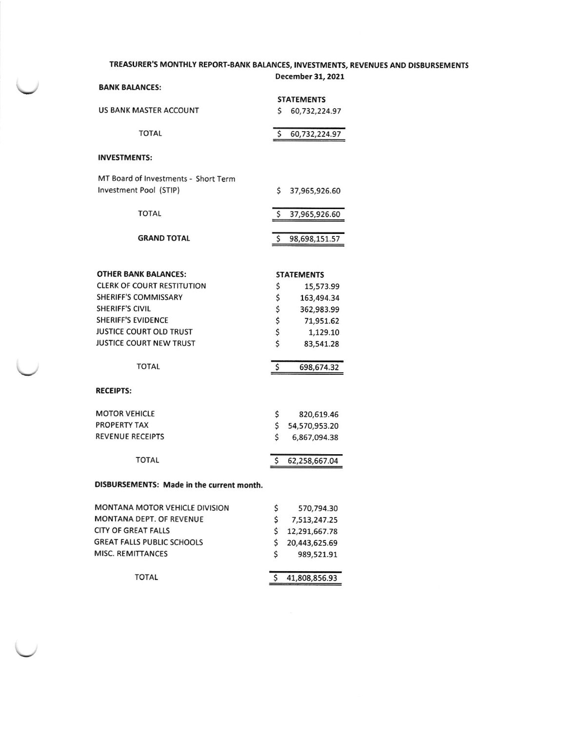# TREASURER'S MONTHLY REPORT-BANK BALANCES, INVESTMENTS, REVENUES AND DISBURSEMENTS

|                                                        | December 31, 2021       |                   |  |
|--------------------------------------------------------|-------------------------|-------------------|--|
| <b>BANK BALANCES:</b>                                  |                         |                   |  |
|                                                        | <b>STATEMENTS</b>       |                   |  |
| US BANK MASTER ACCOUNT                                 | \$                      | 60,732,224.97     |  |
| TOTAL                                                  | \$                      | 60,732,224.97     |  |
| <b>INVESTMENTS:</b>                                    |                         |                   |  |
| MT Board of Investments - Short Term                   |                         |                   |  |
| Investment Pool (STIP)                                 | \$                      | 37,965,926.60     |  |
| <b>TOTAL</b>                                           | \$                      | 37,965,926.60     |  |
| <b>GRAND TOTAL</b>                                     | \$                      | 98,698,151.57     |  |
|                                                        |                         |                   |  |
| <b>OTHER BANK BALANCES:</b>                            |                         | <b>STATEMENTS</b> |  |
| <b>CLERK OF COURT RESTITUTION</b>                      | \$                      | 15,573.99         |  |
| <b>SHERIFF'S COMMISSARY</b>                            | \$                      | 163,494.34        |  |
| <b>SHERIFF'S CIVIL</b>                                 | \$                      | 362,983.99        |  |
| <b>SHERIFF'S EVIDENCE</b>                              |                         | 71,951.62         |  |
| <b>JUSTICE COURT OLD TRUST</b>                         | \$<br>\$                | 1,129.10          |  |
| <b>JUSTICE COURT NEW TRUST</b>                         | \$                      | 83,541.28         |  |
| <b>TOTAL</b>                                           | \$                      | 698,674.32        |  |
| <b>RECEIPTS:</b>                                       |                         |                   |  |
| <b>MOTOR VEHICLE</b>                                   | \$                      | 820,619.46        |  |
| <b>PROPERTY TAX</b>                                    | \$                      | 54,570,953.20     |  |
| <b>REVENUE RECEIPTS</b>                                | \$                      | 6,867,094.38      |  |
| TOTAL                                                  | \$                      | 62,258,667.04     |  |
| DISBURSEMENTS: Made in the current month.              |                         |                   |  |
|                                                        |                         |                   |  |
| MONTANA MOTOR VEHICLE DIVISION                         | \$                      | 570,794.30        |  |
| MONTANA DEPT. OF REVENUE<br><b>CITY OF GREAT FALLS</b> | \$                      | 7,513,247.25      |  |
|                                                        | \$<br>\$                | 12,291,667.78     |  |
| <b>GREAT FALLS PUBLIC SCHOOLS</b>                      |                         | 20,443,625.69     |  |
| MISC. REMITTANCES                                      | Ś                       | 989,521.91        |  |
| <b>TOTAL</b>                                           | $\overline{\mathsf{s}}$ | 41,808,856.93     |  |

s 41,808,8s5.93